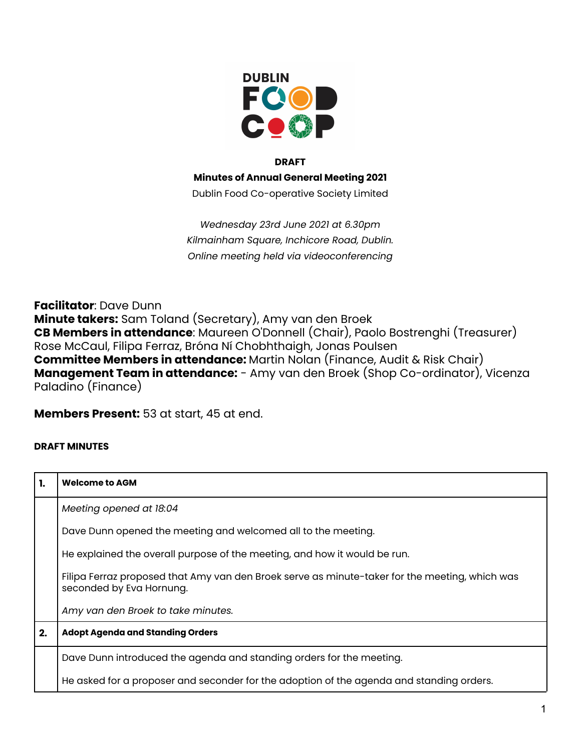

## **DRAFT**

**Minutes of Annual General Meeting 2021**

Dublin Food Co-operative Society Limited

*Wednesday 23rd June 2021 at 6.30pm Kilmainham Square, Inchicore Road, Dublin. Online meeting held via videoconferencing*

**Facilitator**: Dave Dunn **Minute takers:** Sam Toland (Secretary), Amy van den Broek **CB Members in attendance**: Maureen O'Donnell (Chair), Paolo Bostrenghi (Treasurer) Rose McCaul, Filipa Ferraz, Bróna Ní Chobhthaigh, Jonas Poulsen **Committee Members in attendance:** Martin Nolan (Finance, Audit & Risk Chair) **Management Team in attendance:** - Amy van den Broek (Shop Co-ordinator), Vicenza Paladino (Finance)

**Members Present:** 53 at start, 45 at end.

## **DRAFT MINUTES**

| -1. | <b>Welcome to AGM</b>                                                                                                      |
|-----|----------------------------------------------------------------------------------------------------------------------------|
|     | Meeting opened at 18:04                                                                                                    |
|     | Dave Dunn opened the meeting and welcomed all to the meeting.                                                              |
|     | He explained the overall purpose of the meeting, and how it would be run.                                                  |
|     | Filipa Ferraz proposed that Amy van den Broek serve as minute-taker for the meeting, which was<br>seconded by Eva Hornung. |
|     | Amy van den Broek to take minutes.                                                                                         |
| 2.  | <b>Adopt Agenda and Standing Orders</b>                                                                                    |
|     | Dave Dunn introduced the agenda and standing orders for the meeting.                                                       |
|     | He asked for a proposer and seconder for the adoption of the agenda and standing orders.                                   |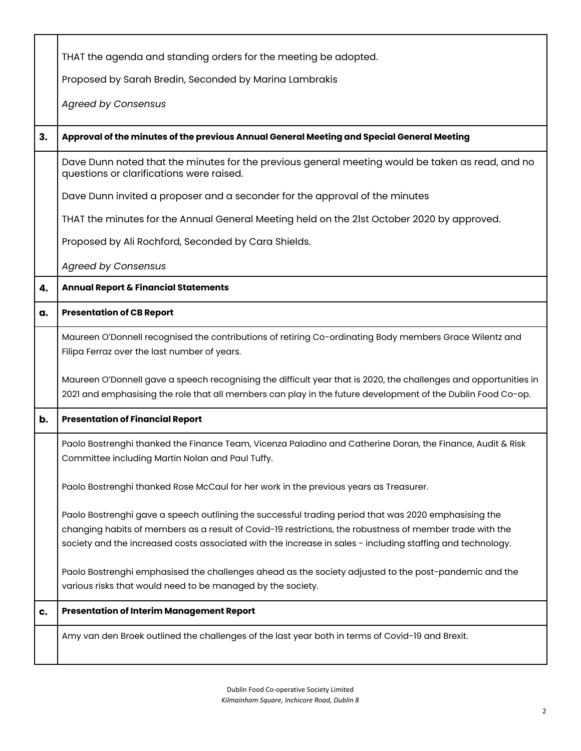|    | THAT the agenda and standing orders for the meeting be adopted.                                                                                                                                                                                                                                                                |
|----|--------------------------------------------------------------------------------------------------------------------------------------------------------------------------------------------------------------------------------------------------------------------------------------------------------------------------------|
|    | Proposed by Sarah Bredin, Seconded by Marina Lambrakis                                                                                                                                                                                                                                                                         |
|    | <b>Agreed by Consensus</b>                                                                                                                                                                                                                                                                                                     |
|    |                                                                                                                                                                                                                                                                                                                                |
| 3. | Approval of the minutes of the previous Annual General Meeting and Special General Meeting                                                                                                                                                                                                                                     |
|    | Dave Dunn noted that the minutes for the previous general meeting would be taken as read, and no<br>questions or clarifications were raised.                                                                                                                                                                                   |
|    | Dave Dunn invited a proposer and a seconder for the approval of the minutes                                                                                                                                                                                                                                                    |
|    | THAT the minutes for the Annual General Meeting held on the 21st October 2020 by approved.                                                                                                                                                                                                                                     |
|    | Proposed by Ali Rochford, Seconded by Cara Shields.                                                                                                                                                                                                                                                                            |
|    | <b>Agreed by Consensus</b>                                                                                                                                                                                                                                                                                                     |
| 4. | Annual Report & Financial Statements                                                                                                                                                                                                                                                                                           |
| a. | <b>Presentation of CB Report</b>                                                                                                                                                                                                                                                                                               |
|    | Maureen O'Donnell recognised the contributions of retiring Co-ordinating Body members Grace Wilentz and<br>Filipa Ferraz over the last number of years.                                                                                                                                                                        |
|    | Maureen O'Donnell gave a speech recognising the difficult year that is 2020, the challenges and opportunities in<br>2021 and emphasising the role that all members can play in the future development of the Dublin Food Co-op.                                                                                                |
| b. | <b>Presentation of Financial Report</b>                                                                                                                                                                                                                                                                                        |
|    | Paolo Bostrenghi thanked the Finance Team, Vicenza Paladino and Catherine Doran, the Finance, Audit & Risk<br>Committee including Martin Nolan and Paul Tuffy.                                                                                                                                                                 |
|    | Paolo Bostrenghi thanked Rose McCaul for her work in the previous years as Treasurer.                                                                                                                                                                                                                                          |
|    | Paolo Bostrenghi gave a speech outlining the successful trading period that was 2020 emphasising the<br>changing habits of members as a result of Covid-19 restrictions, the robustness of member trade with the<br>society and the increased costs associated with the increase in sales - including staffing and technology. |
|    | Paolo Bostrenghi emphasised the challenges ahead as the society adjusted to the post-pandemic and the<br>various risks that would need to be managed by the society.                                                                                                                                                           |
| c. | <b>Presentation of Interim Management Report</b>                                                                                                                                                                                                                                                                               |
|    | Amy van den Broek outlined the challenges of the last year both in terms of Covid-19 and Brexit.                                                                                                                                                                                                                               |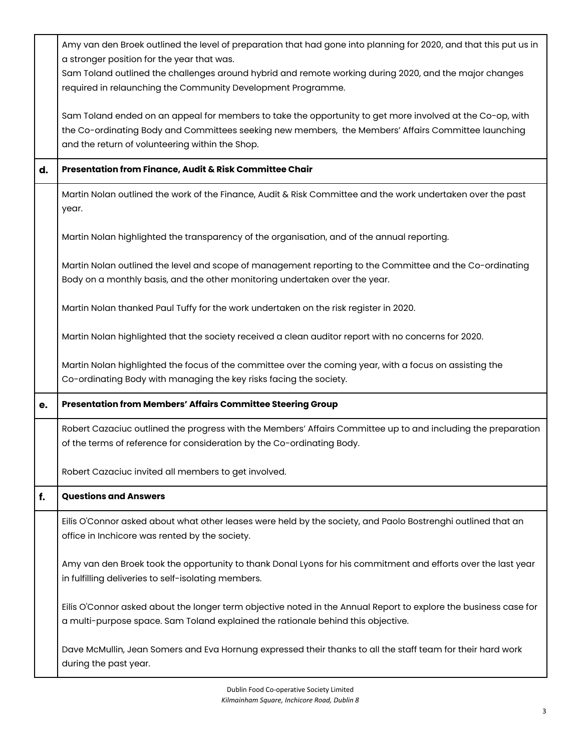|    | Amy van den Broek outlined the level of preparation that had gone into planning for 2020, and that this put us in                                                                       |
|----|-----------------------------------------------------------------------------------------------------------------------------------------------------------------------------------------|
|    | a stronger position for the year that was.                                                                                                                                              |
|    | Sam Toland outlined the challenges around hybrid and remote working during 2020, and the major changes<br>required in relaunching the Community Development Programme.                  |
|    |                                                                                                                                                                                         |
|    | Sam Toland ended on an appeal for members to take the opportunity to get more involved at the Co-op, with                                                                               |
|    | the Co-ordinating Body and Committees seeking new members, the Members' Affairs Committee launching                                                                                     |
|    | and the return of volunteering within the Shop.                                                                                                                                         |
| d. | Presentation from Finance, Audit & Risk Committee Chair                                                                                                                                 |
|    | Martin Nolan outlined the work of the Finance, Audit & Risk Committee and the work undertaken over the past<br>year.                                                                    |
|    | Martin Nolan highlighted the transparency of the organisation, and of the annual reporting.                                                                                             |
|    | Martin Nolan outlined the level and scope of management reporting to the Committee and the Co-ordinating                                                                                |
|    | Body on a monthly basis, and the other monitoring undertaken over the year.                                                                                                             |
|    |                                                                                                                                                                                         |
|    | Martin Nolan thanked Paul Tuffy for the work undertaken on the risk register in 2020.                                                                                                   |
|    | Martin Nolan highlighted that the society received a clean auditor report with no concerns for 2020.                                                                                    |
|    | Martin Nolan highlighted the focus of the committee over the coming year, with a focus on assisting the                                                                                 |
|    | Co-ordinating Body with managing the key risks facing the society.                                                                                                                      |
| е. | Presentation from Members' Affairs Committee Steering Group                                                                                                                             |
|    |                                                                                                                                                                                         |
|    | Robert Cazaciuc outlined the progress with the Members' Affairs Committee up to and including the preparation<br>of the terms of reference for consideration by the Co-ordinating Body. |
|    |                                                                                                                                                                                         |
|    | Robert Cazaciuc invited all members to get involved.                                                                                                                                    |
| f. | <b>Questions and Answers</b>                                                                                                                                                            |
|    | Eilís O'Connor asked about what other leases were held by the society, and Paolo Bostrenghi outlined that an                                                                            |
|    | office in Inchicore was rented by the society.                                                                                                                                          |
|    |                                                                                                                                                                                         |
|    | Amy van den Broek took the opportunity to thank Donal Lyons for his commitment and efforts over the last year<br>in fulfilling deliveries to self-isolating members.                    |
|    |                                                                                                                                                                                         |
|    | Eilís O'Connor asked about the longer term objective noted in the Annual Report to explore the business case for                                                                        |
|    | a multi-purpose space. Sam Toland explained the rationale behind this objective.                                                                                                        |
|    |                                                                                                                                                                                         |
|    | Dave McMullin, Jean Somers and Eva Hornung expressed their thanks to all the staff team for their hard work                                                                             |
|    | during the past year.                                                                                                                                                                   |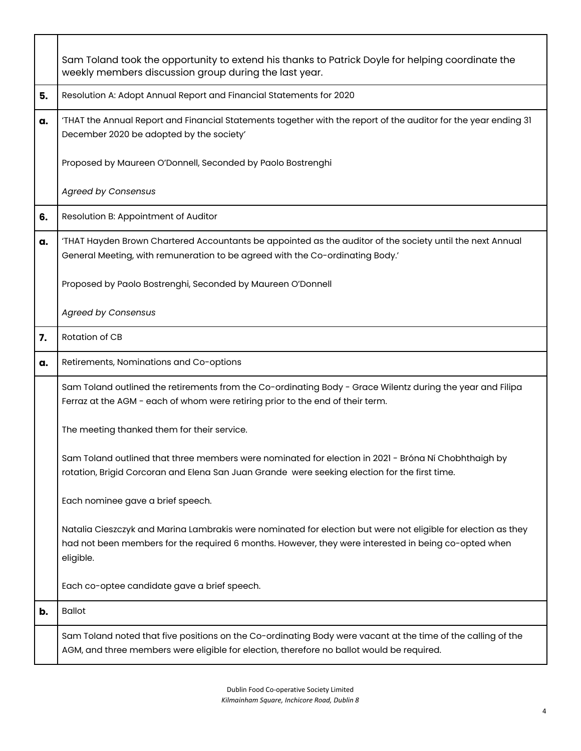|    | Sam Toland took the opportunity to extend his thanks to Patrick Doyle for helping coordinate the<br>weekly members discussion group during the last year.                                                                          |
|----|------------------------------------------------------------------------------------------------------------------------------------------------------------------------------------------------------------------------------------|
| 5. | Resolution A: Adopt Annual Report and Financial Statements for 2020                                                                                                                                                                |
| a. | 'THAT the Annual Report and Financial Statements together with the report of the auditor for the year ending 31<br>December 2020 be adopted by the society'                                                                        |
|    | Proposed by Maureen O'Donnell, Seconded by Paolo Bostrenghi                                                                                                                                                                        |
|    | <b>Agreed by Consensus</b>                                                                                                                                                                                                         |
| 6. | Resolution B: Appointment of Auditor                                                                                                                                                                                               |
| a. | 'THAT Hayden Brown Chartered Accountants be appointed as the auditor of the society until the next Annual<br>General Meeting, with remuneration to be agreed with the Co-ordinating Body.'                                         |
|    | Proposed by Paolo Bostrenghi, Seconded by Maureen O'Donnell                                                                                                                                                                        |
|    | <b>Agreed by Consensus</b>                                                                                                                                                                                                         |
| 7. | Rotation of CB                                                                                                                                                                                                                     |
|    |                                                                                                                                                                                                                                    |
| a. | Retirements, Nominations and Co-options                                                                                                                                                                                            |
|    | Sam Toland outlined the retirements from the Co-ordinating Body - Grace Wilentz during the year and Filipa<br>Ferraz at the AGM - each of whom were retiring prior to the end of their term.                                       |
|    | The meeting thanked them for their service.                                                                                                                                                                                        |
|    | Sam Toland outlined that three members were nominated for election in 2021 - Bróna Ní Chobhthaigh by<br>rotation, Brigid Corcoran and Elena San Juan Grande were seeking election for the first time.                              |
|    | Each nominee gave a brief speech.                                                                                                                                                                                                  |
|    | Natalia Cieszczyk and Marina Lambrakis were nominated for election but were not eligible for election as they<br>had not been members for the required 6 months. However, they were interested in being co-opted when<br>eligible. |
|    | Each co-optee candidate gave a brief speech.                                                                                                                                                                                       |
| b. | <b>Ballot</b>                                                                                                                                                                                                                      |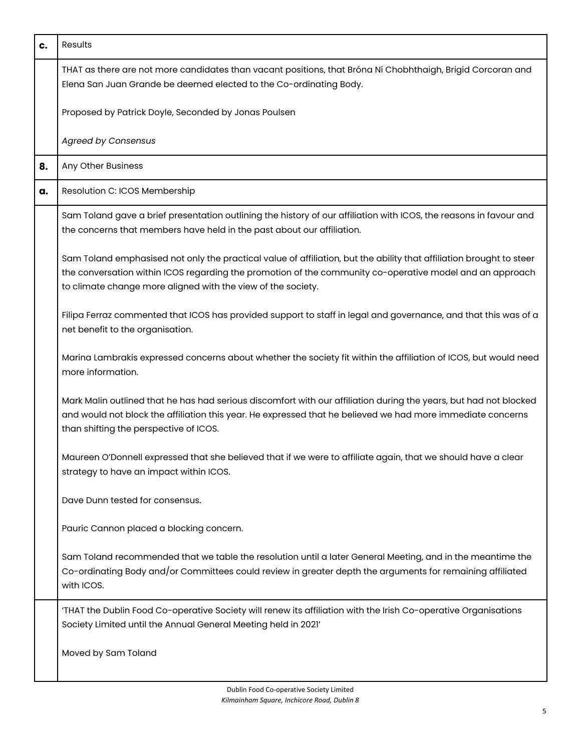| c. | <b>Results</b>                                                                                                                                                                                                                                                                                   |
|----|--------------------------------------------------------------------------------------------------------------------------------------------------------------------------------------------------------------------------------------------------------------------------------------------------|
|    | THAT as there are not more candidates than vacant positions, that Bróna Ní Chobhthaigh, Brigid Corcoran and<br>Elena San Juan Grande be deemed elected to the Co-ordinating Body.                                                                                                                |
|    | Proposed by Patrick Doyle, Seconded by Jonas Poulsen                                                                                                                                                                                                                                             |
|    | <b>Agreed by Consensus</b>                                                                                                                                                                                                                                                                       |
| 8. | Any Other Business                                                                                                                                                                                                                                                                               |
| a. | Resolution C: ICOS Membership                                                                                                                                                                                                                                                                    |
|    | Sam Toland gave a brief presentation outlining the history of our affiliation with ICOS, the reasons in favour and<br>the concerns that members have held in the past about our affiliation.                                                                                                     |
|    | Sam Toland emphasised not only the practical value of affiliation, but the ability that affiliation brought to steer<br>the conversation within ICOS regarding the promotion of the community co-operative model and an approach<br>to climate change more aligned with the view of the society. |
|    | Filipa Ferraz commented that ICOS has provided support to staff in legal and governance, and that this was of a<br>net benefit to the organisation.                                                                                                                                              |
|    | Marina Lambrakis expressed concerns about whether the society fit within the affiliation of ICOS, but would need<br>more information.                                                                                                                                                            |
|    | Mark Malin outlined that he has had serious discomfort with our affiliation during the years, but had not blocked<br>and would not block the affiliation this year. He expressed that he believed we had more immediate concerns<br>than shifting the perspective of ICOS.                       |
|    | Maureen O'Donnell expressed that she believed that if we were to affiliate again, that we should have a clear<br>strategy to have an impact within ICOS.                                                                                                                                         |
|    | Dave Dunn tested for consensus.                                                                                                                                                                                                                                                                  |
|    | Pauric Cannon placed a blocking concern.                                                                                                                                                                                                                                                         |
|    | Sam Toland recommended that we table the resolution until a later General Meeting, and in the meantime the<br>Co-ordinating Body and/or Committees could review in greater depth the arguments for remaining affiliated<br>with ICOS.                                                            |
|    | 'THAT the Dublin Food Co-operative Society will renew its affiliation with the Irish Co-operative Organisations<br>Society Limited until the Annual General Meeting held in 2021'                                                                                                                |
|    | Moved by Sam Toland                                                                                                                                                                                                                                                                              |